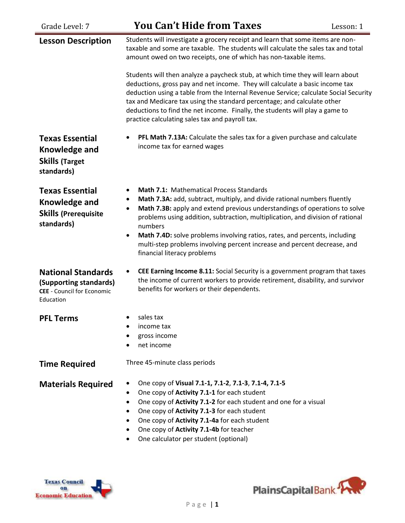| Grade Level: 7                                                                                        | <b>You Can't Hide from Taxes</b>                                                                                                                                                                                                                                                                                                                                                                                                                                                                                                                                              | Lesson: 1 |
|-------------------------------------------------------------------------------------------------------|-------------------------------------------------------------------------------------------------------------------------------------------------------------------------------------------------------------------------------------------------------------------------------------------------------------------------------------------------------------------------------------------------------------------------------------------------------------------------------------------------------------------------------------------------------------------------------|-----------|
| <b>Lesson Description</b>                                                                             | Students will investigate a grocery receipt and learn that some items are non-<br>taxable and some are taxable. The students will calculate the sales tax and total<br>amount owed on two receipts, one of which has non-taxable items.<br>Students will then analyze a paycheck stub, at which time they will learn about<br>deductions, gross pay and net income. They will calculate a basic income tax<br>deduction using a table from the Internal Revenue Service; calculate Social Security<br>tax and Medicare tax using the standard percentage; and calculate other |           |
|                                                                                                       | deductions to find the net income. Finally, the students will play a game to<br>practice calculating sales tax and payroll tax.                                                                                                                                                                                                                                                                                                                                                                                                                                               |           |
| <b>Texas Essential</b><br>Knowledge and<br><b>Skills (Target</b><br>standards)                        | PFL Math 7.13A: Calculate the sales tax for a given purchase and calculate<br>income tax for earned wages                                                                                                                                                                                                                                                                                                                                                                                                                                                                     |           |
| <b>Texas Essential</b><br>Knowledge and<br><b>Skills (Prerequisite</b><br>standards)                  | <b>Math 7.1: Mathematical Process Standards</b><br>Math 7.3A: add, subtract, multiply, and divide rational numbers fluently<br>Math 7.3B: apply and extend previous understandings of operations to solve<br>problems using addition, subtraction, multiplication, and division of rational<br>numbers<br>Math 7.4D: solve problems involving ratios, rates, and percents, including<br>$\bullet$<br>multi-step problems involving percent increase and percent decrease, and<br>financial literacy problems                                                                  |           |
| <b>National Standards</b><br>(Supporting standards)<br><b>CEE</b> - Council for Economic<br>Education | CEE Earning Income 8.11: Social Security is a government program that taxes<br>the income of current workers to provide retirement, disability, and survivor<br>benefits for workers or their dependents.                                                                                                                                                                                                                                                                                                                                                                     |           |
| <b>PFL Terms</b>                                                                                      | sales tax<br>income tax<br>gross income<br>net income                                                                                                                                                                                                                                                                                                                                                                                                                                                                                                                         |           |
| <b>Time Required</b>                                                                                  | Three 45-minute class periods                                                                                                                                                                                                                                                                                                                                                                                                                                                                                                                                                 |           |
| <b>Materials Required</b>                                                                             | One copy of Visual 7.1-1, 7.1-2, 7.1-3, 7.1-4, 7.1-5<br>One copy of Activity 7.1-1 for each student<br>One copy of Activity 7.1-2 for each student and one for a visual<br>One copy of Activity 7.1-3 for each student<br>One copy of Activity 7.1-4a for each student<br>One copy of Activity 7.1-4b for teacher<br>One calculator per student (optional)                                                                                                                                                                                                                    |           |



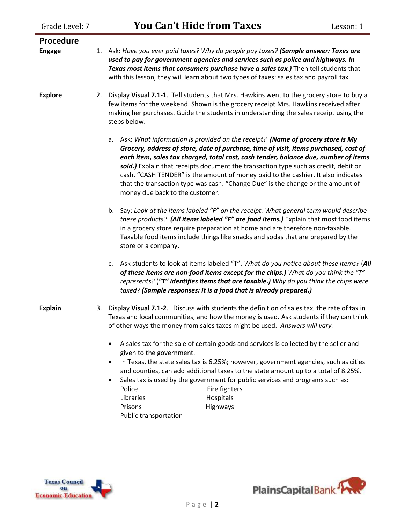| Grade Level: 7             | <b>You Can't Hide from Taxes</b>                                                                                                                                                                                                                                                                                                                                                                                                                                                                                                                                   | Lesson: 1 |
|----------------------------|--------------------------------------------------------------------------------------------------------------------------------------------------------------------------------------------------------------------------------------------------------------------------------------------------------------------------------------------------------------------------------------------------------------------------------------------------------------------------------------------------------------------------------------------------------------------|-----------|
| Procedure<br><b>Engage</b> | 1. Ask: Have you ever paid taxes? Why do people pay taxes? (Sample answer: Taxes are<br>used to pay for government agencies and services such as police and highways. In<br>Texas most items that consumers purchase have a sales tax.) Then tell students that<br>with this lesson, they will learn about two types of taxes: sales tax and payroll tax.                                                                                                                                                                                                          |           |
| <b>Explore</b>             | Display Visual 7.1-1. Tell students that Mrs. Hawkins went to the grocery store to buy a<br>2.<br>few items for the weekend. Shown is the grocery receipt Mrs. Hawkins received after<br>making her purchases. Guide the students in understanding the sales receipt using the<br>steps below.                                                                                                                                                                                                                                                                     |           |
|                            | a. Ask: What information is provided on the receipt? (Name of grocery store is My<br>Grocery, address of store, date of purchase, time of visit, items purchased, cost of<br>each item, sales tax charged, total cost, cash tender, balance due, number of items<br>sold.) Explain that receipts document the transaction type such as credit, debit or<br>cash. "CASH TENDER" is the amount of money paid to the cashier. It also indicates<br>that the transaction type was cash. "Change Due" is the change or the amount of<br>money due back to the customer. |           |
|                            | b. Say: Look at the items labeled "F" on the receipt. What general term would describe<br>these products? (All items labeled "F" are food items.) Explain that most food items<br>in a grocery store require preparation at home and are therefore non-taxable.<br>Taxable food items include things like snacks and sodas that are prepared by the<br>store or a company.                                                                                                                                                                                         |           |
|                            | c. Ask students to look at items labeled "T". What do you notice about these items? (All<br>of these items are non-food items except for the chips.) What do you think the "T"<br>represents? ("T" identifies items that are taxable.) Why do you think the chips were<br>taxed? (Sample responses: It is a food that is already prepared.)                                                                                                                                                                                                                        |           |
| <b>Explain</b>             | 3. Display Visual 7.1-2. Discuss with students the definition of sales tax, the rate of tax in<br>Texas and local communities, and how the money is used. Ask students if they can think<br>of other ways the money from sales taxes might be used. Answers will vary.                                                                                                                                                                                                                                                                                             |           |
|                            | A sales tax for the sale of certain goods and services is collected by the seller and<br>given to the government.<br>In Texas, the state sales tax is 6.25%; however, government agencies, such as cities<br>and counties, can add additional taxes to the state amount up to a total of 8.25%.<br>Sales tax is used by the government for public services and programs such as:<br>Police<br>Fire fighters<br>Libraries<br>Hospitals<br>Highways<br>Prisons<br>Public transportation                                                                              |           |



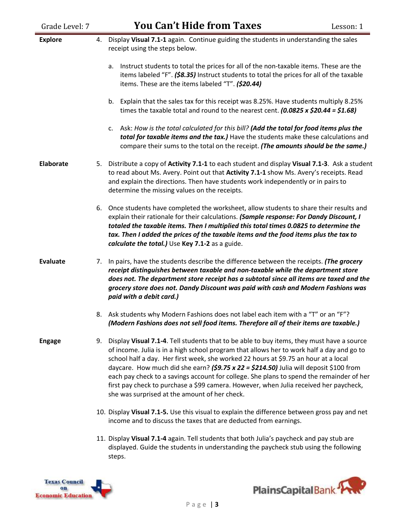| Grade Level: 7   | <b>You Can't Hide from Taxes</b><br>Lesson: 1                                                                                                                                                                                                                                                                                                                                                                                                                                                                                                                                                                       |  |
|------------------|---------------------------------------------------------------------------------------------------------------------------------------------------------------------------------------------------------------------------------------------------------------------------------------------------------------------------------------------------------------------------------------------------------------------------------------------------------------------------------------------------------------------------------------------------------------------------------------------------------------------|--|
| <b>Explore</b>   | Display Visual 7.1-1 again. Continue guiding the students in understanding the sales<br>4.<br>receipt using the steps below.                                                                                                                                                                                                                                                                                                                                                                                                                                                                                        |  |
|                  | Instruct students to total the prices for all of the non-taxable items. These are the<br>a.<br>items labeled "F". (\$8.35) Instruct students to total the prices for all of the taxable<br>items. These are the items labeled "T". (\$20.44)                                                                                                                                                                                                                                                                                                                                                                        |  |
|                  | b. Explain that the sales tax for this receipt was 8.25%. Have students multiply 8.25%<br>times the taxable total and round to the nearest cent. $(0.0825 \times $20.44 = $1.68)$                                                                                                                                                                                                                                                                                                                                                                                                                                   |  |
|                  | c. Ask: How is the total calculated for this bill? (Add the total for food items plus the<br>total for taxable items and the tax.) Have the students make these calculations and<br>compare their sums to the total on the receipt. (The amounts should be the same.)                                                                                                                                                                                                                                                                                                                                               |  |
| <b>Elaborate</b> | Distribute a copy of Activity 7.1-1 to each student and display Visual 7.1-3. Ask a student<br>5.<br>to read about Ms. Avery. Point out that Activity 7.1-1 show Ms. Avery's receipts. Read<br>and explain the directions. Then have students work independently or in pairs to<br>determine the missing values on the receipts.                                                                                                                                                                                                                                                                                    |  |
|                  | Once students have completed the worksheet, allow students to share their results and<br>6.<br>explain their rationale for their calculations. (Sample response: For Dandy Discount, I<br>totaled the taxable items. Then I multiplied this total times 0.0825 to determine the<br>tax. Then I added the prices of the taxable items and the food items plus the tax to<br>calculate the total.) Use Key 7.1-2 as a guide.                                                                                                                                                                                          |  |
| <b>Evaluate</b>  | In pairs, have the students describe the difference between the receipts. (The grocery<br>7.<br>receipt distinguishes between taxable and non-taxable while the department store<br>does not. The department store receipt has a subtotal since all items are taxed and the<br>grocery store does not. Dandy Discount was paid with cash and Modern Fashions was<br>paid with a debit card.)                                                                                                                                                                                                                        |  |
|                  | Ask students why Modern Fashions does not label each item with a "T" or an "F"?<br>8.<br>(Modern Fashions does not sell food items. Therefore all of their items are taxable.)                                                                                                                                                                                                                                                                                                                                                                                                                                      |  |
| <b>Engage</b>    | Display Visual 7.1-4. Tell students that to be able to buy items, they must have a source<br>9.<br>of income. Julia is in a high school program that allows her to work half a day and go to<br>school half a day. Her first week, she worked 22 hours at \$9.75 an hour at a local<br>daycare. How much did she earn? (\$9.75 x 22 = \$214.50) Julia will deposit \$100 from<br>each pay check to a savings account for college. She plans to spend the remainder of her<br>first pay check to purchase a \$99 camera. However, when Julia received her paycheck,<br>she was surprised at the amount of her check. |  |
|                  | 10. Display Visual 7.1-5. Use this visual to explain the difference between gross pay and net<br>income and to discuss the taxes that are deducted from earnings.                                                                                                                                                                                                                                                                                                                                                                                                                                                   |  |
|                  | 11. Display Visual 7.1-4 again. Tell students that both Julia's paycheck and pay stub are<br>displayed. Guide the students in understanding the paycheck stub using the following<br>steps.                                                                                                                                                                                                                                                                                                                                                                                                                         |  |



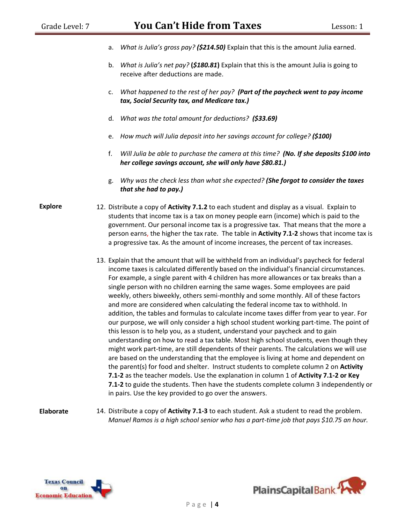- a. *What is Julia's gross pay? (\$214.50)* Explain that this is the amount Julia earned.
- b. *What is Julia's net pay?* **(***\$180.81***)** Explain that this is the amount Julia is going to receive after deductions are made.
- c. *What happened to the rest of her pay? (Part of the paycheck went to pay income tax, Social Security tax, and Medicare tax.)*
- d. *What was the total amount for deductions? (\$33.69)*
- e. *How much will Julia deposit into her savings account for college? (\$100)*
- f. *Will Julia be able to purchase the camera at this time? (No. If she deposits \$100 into her college savings account, she will only have \$80.81.)*
- g. *Why was the check less than what she expected? (She forgot to consider the taxes that she had to pay.)*

**Explore** 12. Distribute a copy of **Activity 7.1.2** to each student and display as a visual. Explain to students that income tax is a tax on money people earn (income) which is paid to the government. Our personal income tax is a progressive tax. That means that the more a person earns, the higher the tax rate. The table in **Activity 7.1-2** shows that income tax is a progressive tax. As the amount of income increases, the percent of tax increases.

- 13. Explain that the amount that will be withheld from an individual's paycheck for federal income taxes is calculated differently based on the individual's financial circumstances. For example, a single parent with 4 children has more allowances or tax breaks than a single person with no children earning the same wages. Some employees are paid weekly, others biweekly, others semi-monthly and some monthly. All of these factors and more are considered when calculating the federal income tax to withhold. In addition, the tables and formulas to calculate income taxes differ from year to year. For our purpose, we will only consider a high school student working part-time. The point of this lesson is to help you, as a student, understand your paycheck and to gain understanding on how to read a tax table. Most high school students, even though they might work part-time, are still dependents of their parents. The calculations we will use are based on the understanding that the employee is living at home and dependent on the parent(s) for food and shelter. Instruct students to complete column 2 on **Activity 7.1-2** as the teacher models. Use the explanation in column 1 of **Activity 7.1-2 or Key 7.1-2** to guide the students. Then have the students complete column 3 independently or in pairs. Use the key provided to go over the answers.
- **Elaborate** 14. Distribute a copy of **Activity 7.1-3** to each student. Ask a student to read the problem. *Manuel Ramos is a high school senior who has a part-time job that pays \$10.75 an hour.*



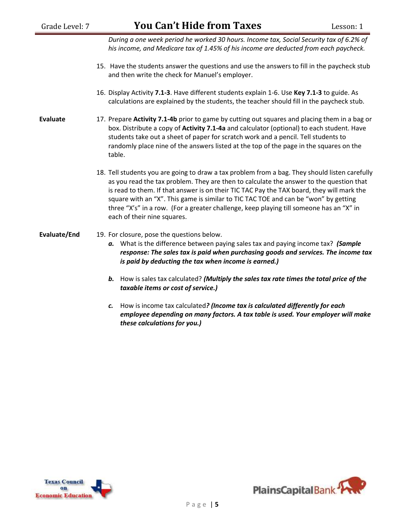| Grade Level: 7  | <b>You Can't Hide from Taxes</b>                                                                                                                                                                                                                                                                                                                                                                                                                                                                        | Lesson: 1 |
|-----------------|---------------------------------------------------------------------------------------------------------------------------------------------------------------------------------------------------------------------------------------------------------------------------------------------------------------------------------------------------------------------------------------------------------------------------------------------------------------------------------------------------------|-----------|
|                 | During a one week period he worked 30 hours. Income tax, Social Security tax of 6.2% of<br>his income, and Medicare tax of 1.45% of his income are deducted from each paycheck.                                                                                                                                                                                                                                                                                                                         |           |
|                 | 15. Have the students answer the questions and use the answers to fill in the paycheck stub<br>and then write the check for Manuel's employer.                                                                                                                                                                                                                                                                                                                                                          |           |
|                 | 16. Display Activity 7.1-3. Have different students explain 1-6. Use Key 7.1-3 to guide. As<br>calculations are explained by the students, the teacher should fill in the paycheck stub.                                                                                                                                                                                                                                                                                                                |           |
| <b>Evaluate</b> | 17. Prepare Activity 7.1-4b prior to game by cutting out squares and placing them in a bag or<br>box. Distribute a copy of Activity 7.1-4a and calculator (optional) to each student. Have<br>students take out a sheet of paper for scratch work and a pencil. Tell students to<br>randomly place nine of the answers listed at the top of the page in the squares on the<br>table.                                                                                                                    |           |
|                 | 18. Tell students you are going to draw a tax problem from a bag. They should listen carefully<br>as you read the tax problem. They are then to calculate the answer to the question that<br>is read to them. If that answer is on their TIC TAC Pay the TAX board, they will mark the<br>square with an "X". This game is similar to TIC TAC TOE and can be "won" by getting<br>three "X's" in a row. (For a greater challenge, keep playing till someone has an "X" in<br>each of their nine squares. |           |
| Evaluate/End    | 19. For closure, pose the questions below.<br>a. What is the difference between paying sales tax and paying income tax? (Sample<br>response: The sales tax is paid when purchasing goods and services. The income tax<br>is paid by deducting the tax when income is earned.)                                                                                                                                                                                                                           |           |
|                 | How is sales tax calculated? (Multiply the sales tax rate times the total price of the<br>b.<br>taxable items or cost of service.)                                                                                                                                                                                                                                                                                                                                                                      |           |
|                 | How is income tax calculated? (Income tax is calculated differently for each<br>c.                                                                                                                                                                                                                                                                                                                                                                                                                      |           |

*employee depending on many factors. A tax table is used. Your employer will make these calculations for you.)*



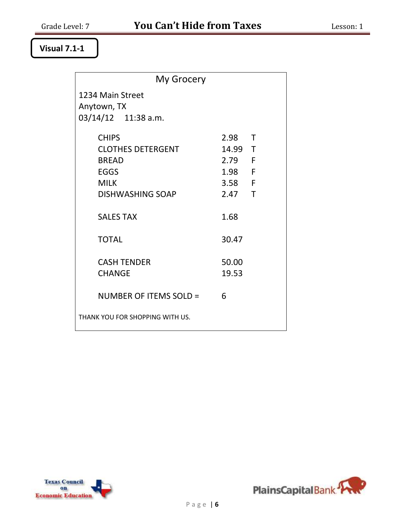#### **Visual 7.1-1**

| My Grocery                                                                                                        |                                                             |  |
|-------------------------------------------------------------------------------------------------------------------|-------------------------------------------------------------|--|
| 1234 Main Street<br>Anytown, TX<br>$03/14/12$ 11:38 a.m.                                                          |                                                             |  |
| <b>CHIPS</b><br><b>CLOTHES DETERGENT</b><br><b>BREAD</b><br><b>EGGS</b><br><b>MILK</b><br><b>DISHWASHING SOAP</b> | 2.98 T<br>14.99 T<br>2.79 F<br>1.98 F<br>3.58 F<br>$2.47$ T |  |
| <b>SALES TAX</b><br><b>TOTAL</b>                                                                                  | 1.68<br>30.47                                               |  |
| <b>CASH TENDER</b><br><b>CHANGE</b>                                                                               | 50.00<br>19.53                                              |  |
| NUMBER OF ITEMS SOLD =<br>THANK YOU FOR SHOPPING WITH US.                                                         | 6                                                           |  |



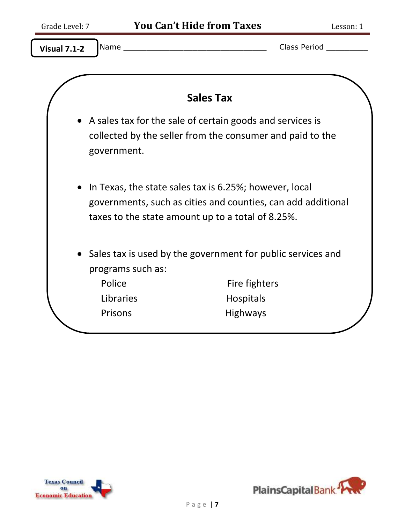|                   | <b>Sales Tax</b>                                                                                                                                                            |
|-------------------|-----------------------------------------------------------------------------------------------------------------------------------------------------------------------------|
| government.       | • A sales tax for the sale of certain goods and services is<br>collected by the seller from the consumer and paid to the                                                    |
|                   | In Texas, the state sales tax is 6.25%; however, local<br>governments, such as cities and counties, can add additional<br>taxes to the state amount up to a total of 8.25%. |
| programs such as: | Sales tax is used by the government for public services and                                                                                                                 |
| Police            | Fire fighters                                                                                                                                                               |
| Libraries         | <b>Hospitals</b>                                                                                                                                                            |
| Prisons           | <b>Highways</b>                                                                                                                                                             |



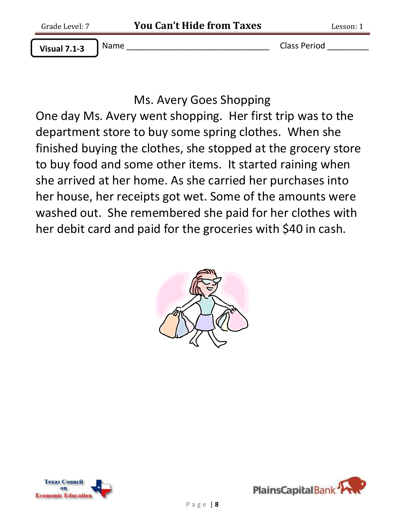**Visual 7.1-3**

Name \_\_\_\_\_\_\_\_\_\_\_\_\_\_\_\_\_\_\_\_\_\_\_\_\_\_\_\_\_\_\_ Class Period \_\_\_\_\_\_\_\_\_

# Ms. Avery Goes Shopping

One day Ms. Avery went shopping. Her first trip was to the department store to buy some spring clothes. When she finished buying the clothes, she stopped at the grocery store to buy food and some other items. It started raining when she arrived at her home. As she carried her purchases into her house, her receipts got wet. Some of the amounts were washed out. She remembered she paid for her clothes with her debit card and paid for the groceries with \$40 in cash.





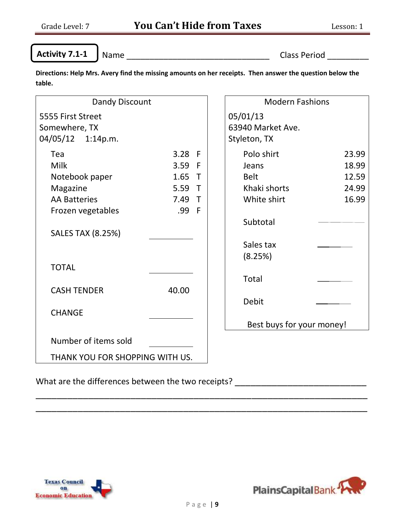Ĩ

**Activity 7.1-1**

Name \_\_\_\_\_\_\_\_\_\_\_\_\_\_\_\_\_\_\_\_\_\_\_\_\_\_\_\_\_\_\_ Class Period \_\_\_\_\_\_\_\_\_

**Directions: Help Mrs. Avery find the missing amounts on her receipts. Then answer the question below the table.**

| Dandy Discount                  |          |              | <b>Modern Fashions</b>    |
|---------------------------------|----------|--------------|---------------------------|
| 5555 First Street               |          |              | 05/01/13                  |
| Somewhere, TX                   |          |              | 63940 Market Ave.         |
| 04/05/12 1:14p.m.               |          |              | Styleton, TX              |
| Tea                             | $3.28$ F |              | Polo shirt<br>23.99       |
| Milk                            | 3.59     | $\mathsf{F}$ | 18.99<br>Jeans            |
| Notebook paper                  | 1.65     | $\top$       | <b>Belt</b><br>12.59      |
| Magazine                        | 5.59     | $\top$       | Khaki shorts<br>24.99     |
| <b>AA Batteries</b>             | 7.49 T   |              | 16.99<br>White shirt      |
| Frozen vegetables               | .99      | - F          |                           |
|                                 |          |              | Subtotal                  |
| <b>SALES TAX (8.25%)</b>        |          |              |                           |
|                                 |          |              | Sales tax                 |
|                                 |          |              | (8.25%)                   |
| <b>TOTAL</b>                    |          |              |                           |
|                                 |          |              | Total                     |
| <b>CASH TENDER</b>              | 40.00    |              |                           |
|                                 |          |              | <b>Debit</b>              |
| <b>CHANGE</b>                   |          |              |                           |
|                                 |          |              | Best buys for your money! |
| Number of items sold            |          |              |                           |
| THANK YOU FOR SHOPPING WITH US. |          |              |                           |
|                                 |          |              |                           |

What are the differences between the two receipts? \_\_\_\_\_\_\_\_\_\_\_\_\_\_\_\_\_\_\_\_\_\_\_\_\_\_\_\_\_





\_\_\_\_\_\_\_\_\_\_\_\_\_\_\_\_\_\_\_\_\_\_\_\_\_\_\_\_\_\_\_\_\_\_\_\_\_\_\_\_\_\_\_\_\_\_\_\_\_\_\_\_\_\_\_\_\_\_\_\_\_\_\_ \_\_\_\_\_\_\_\_\_\_\_\_\_\_\_\_\_\_\_\_\_\_\_\_\_\_\_\_\_\_\_\_\_\_\_\_\_\_\_\_\_\_\_\_\_\_\_\_\_\_\_\_\_\_\_\_\_\_\_\_\_\_\_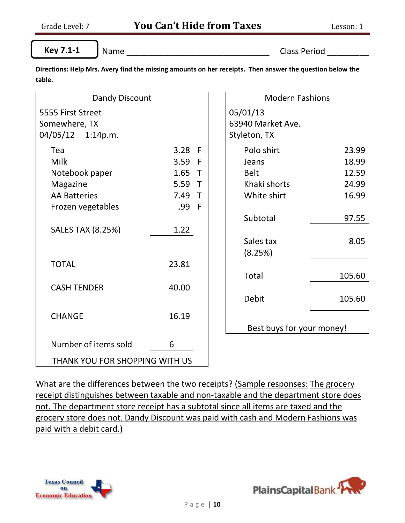l

**Key 7.1-1**

Name \_\_\_\_\_\_\_\_\_\_\_\_\_\_\_\_\_\_\_\_\_\_\_\_\_\_\_\_\_\_\_ Class Period \_\_\_\_\_\_\_\_\_

**Directions: Help Mrs. Avery find the missing amounts on her receipts. Then answer the question below the table.**

| Dandy Discount                                          |          |              | <b>Modern Fashions</b>                        |        |
|---------------------------------------------------------|----------|--------------|-----------------------------------------------|--------|
| 5555 First Street<br>Somewhere, TX<br>04/05/12 1:14p.m. |          |              | 05/01/13<br>63940 Market Ave.<br>Styleton, TX |        |
| Tea                                                     | $3.28$ F |              | Polo shirt                                    | 23.99  |
| <b>Milk</b>                                             | 3.59     | - F          | Jeans                                         | 18.99  |
| Notebook paper                                          | 1.65     | $\top$       | <b>Belt</b>                                   | 12.59  |
| Magazine                                                | 5.59     | $\top$       | Khaki shorts                                  | 24.99  |
| <b>AA Batteries</b>                                     | 7.49     | $\top$       | White shirt                                   | 16.99  |
| Frozen vegetables                                       | .99      | $\mathsf{F}$ |                                               |        |
|                                                         |          |              | Subtotal                                      | 97.55  |
| <b>SALES TAX (8.25%)</b>                                | 1.22     |              |                                               |        |
|                                                         |          |              | Sales tax                                     | 8.05   |
|                                                         |          |              | (8.25%)                                       |        |
| <b>TOTAL</b>                                            | 23.81    |              |                                               |        |
|                                                         |          |              | Total                                         | 105.60 |
| <b>CASH TENDER</b>                                      | 40.00    |              |                                               |        |
|                                                         |          |              | <b>Debit</b>                                  | 105.60 |
| <b>CHANGE</b>                                           | 16.19    |              |                                               |        |
|                                                         |          |              | Best buys for your money!                     |        |
| Number of items sold                                    | 6        |              |                                               |        |
| THANK YOU FOR SHOPPING WITH US                          |          |              |                                               |        |

What are the differences between the two receipts? (Sample responses: The grocery receipt distinguishes between taxable and non-taxable and the department store does not. The department store receipt has a subtotal since all items are taxed and the grocery store does not. Dandy Discount was paid with cash and Modern Fashions was paid with a debit card.)



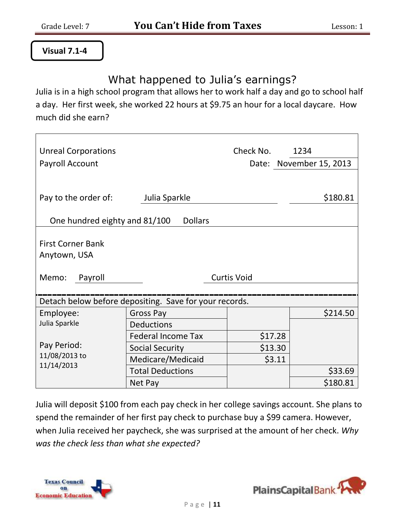#### **Visual 7.1-4**

## What happened to Julia's earnings?

Julia is in a high school program that allows her to work half a day and go to school half a day. Her first week, she worked 22 hours at \$9.75 an hour for a local daycare. How much did she earn?

| <b>Unreal Corporations</b>    |                                                        | Check No.          | 1234                    |
|-------------------------------|--------------------------------------------------------|--------------------|-------------------------|
| Payroll Account               |                                                        |                    | Date: November 15, 2013 |
|                               |                                                        |                    |                         |
|                               |                                                        |                    |                         |
| Pay to the order of:          | Julia Sparkle                                          |                    | \$180.81                |
| One hundred eighty and 81/100 | <b>Dollars</b>                                         |                    |                         |
|                               |                                                        |                    |                         |
| <b>First Corner Bank</b>      |                                                        |                    |                         |
| Anytown, USA                  |                                                        |                    |                         |
|                               |                                                        |                    |                         |
| Memo:<br>Payroll              |                                                        | <b>Curtis Void</b> |                         |
|                               |                                                        |                    |                         |
|                               | Detach below before depositing. Save for your records. |                    |                         |
| Employee:                     | <b>Gross Pay</b>                                       |                    | \$214.50                |
| Julia Sparkle                 | <b>Deductions</b>                                      |                    |                         |
|                               | <b>Federal Income Tax</b>                              | \$17.28            |                         |
| Pay Period:                   | <b>Social Security</b>                                 | \$13.30            |                         |
| 11/08/2013 to                 | Medicare/Medicaid                                      | \$3.11             |                         |
| 11/14/2013                    | <b>Total Deductions</b>                                |                    | \$33.69                 |
|                               | Net Pay                                                |                    | \$180.81                |

Julia will deposit \$100 from each pay check in her college savings account. She plans to spend the remainder of her first pay check to purchase buy a \$99 camera. However, when Julia received her paycheck, she was surprised at the amount of her check. *Why was the check less than what she expected?*



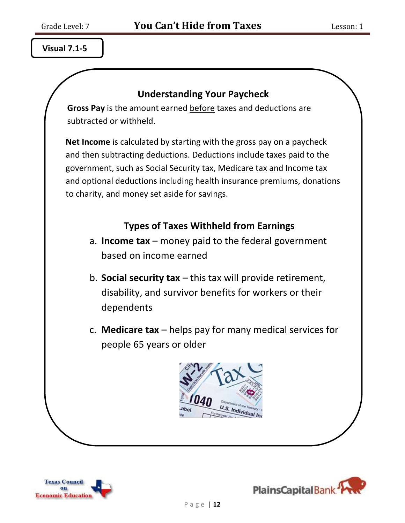**Visual 7.1-5**

#### **Understanding Your Paycheck**

**Gross Pay** is the amount earned before taxes and deductions are subtracted or withheld.

**Net Income** is calculated by starting with the gross pay on a paycheck and then subtracting deductions. Deductions include taxes paid to the government, such as Social Security tax, Medicare tax and Income tax and optional deductions including health insurance premiums, donations to charity, and money set aside for savings.

### **Types of Taxes Withheld from Earnings**

- a. **Income tax** money paid to the federal government based on income earned
- b. **Social security tax** this tax will provide retirement, disability, and survivor benefits for workers or their dependents
- c. **Medicare tax** helps pay for many medical services for people 65 years or older





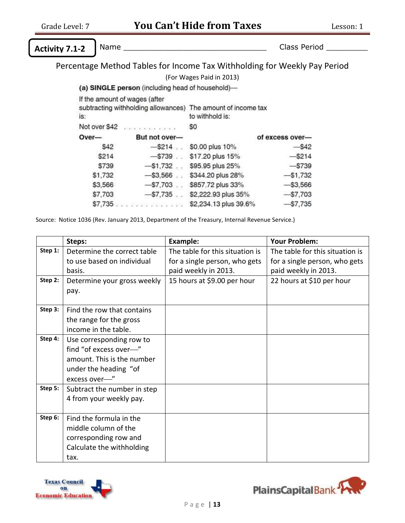**Activity 7.1-2**

ī

Name \_\_\_\_\_\_\_\_\_\_\_\_\_\_\_\_\_\_\_\_\_\_\_\_\_\_\_\_\_\_\_ Class Period \_\_\_\_\_\_\_\_\_

Percentage Method Tables for Income Tax Withholding for Weekly Pay Period

(For Wages Paid in 2013)

(a) SINGLE person (including head of household)-

| If the amount of wages (after<br>subtracting withholding allowances) The amount of income tax |                                  | to withhold is:       |                 |
|-----------------------------------------------------------------------------------------------|----------------------------------|-----------------------|-----------------|
| is:                                                                                           |                                  |                       |                 |
| Not over \$42                                                                                 | <b>Analysis and a series and</b> | \$0                   |                 |
| Over-                                                                                         | But not over-                    |                       | of excess over- |
| \$42                                                                                          | $-$ \$214                        | \$0.00 plus 10%       | $-$ \$42        |
| \$214                                                                                         | $-$ \$739.                       | \$17.20 plus 15%      | $-$ \$214       |
| \$739                                                                                         | $-$ \$1,732.                     | \$95.95 plus 25%      | $-$739$         |
| \$1,732                                                                                       | $-$ \$3,566.                     | \$344.20 plus 28%     | $-$1,732$       |
| \$3,566                                                                                       | $- $7,703$                       | \$857.72 plus 33%     | $-$ \$3,566     |
| \$7,703                                                                                       | $-$ \$7,735.                     | \$2,222.93 plus 35%   | $-$7,703$       |
| \$7,735                                                                                       | 84 RAYA 2484 BAG                 | \$2,234.13 plus 39.6% | $-$7,735$       |

Source: Notice 1036 (Rev. January 2013, Department of the Treasury, Internal Revenue Service.)

|         | Steps:                      | <b>Example:</b>                 | <b>Your Problem:</b>            |
|---------|-----------------------------|---------------------------------|---------------------------------|
| Step 1: | Determine the correct table | The table for this situation is | The table for this situation is |
|         | to use based on individual  | for a single person, who gets   | for a single person, who gets   |
|         | basis.                      | paid weekly in 2013.            | paid weekly in 2013.            |
| Step 2: | Determine your gross weekly | 15 hours at \$9.00 per hour     | 22 hours at \$10 per hour       |
|         | pay.                        |                                 |                                 |
|         |                             |                                 |                                 |
| Step 3: | Find the row that contains  |                                 |                                 |
|         | the range for the gross     |                                 |                                 |
|         | income in the table.        |                                 |                                 |
| Step 4: | Use corresponding row to    |                                 |                                 |
|         | find "of excess over-"      |                                 |                                 |
|         | amount. This is the number  |                                 |                                 |
|         | under the heading "of       |                                 |                                 |
|         | excess over-"               |                                 |                                 |
| Step 5: | Subtract the number in step |                                 |                                 |
|         | 4 from your weekly pay.     |                                 |                                 |
|         |                             |                                 |                                 |
| Step 6: | Find the formula in the     |                                 |                                 |
|         | middle column of the        |                                 |                                 |
|         | corresponding row and       |                                 |                                 |
|         | Calculate the withholding   |                                 |                                 |
|         | tax.                        |                                 |                                 |



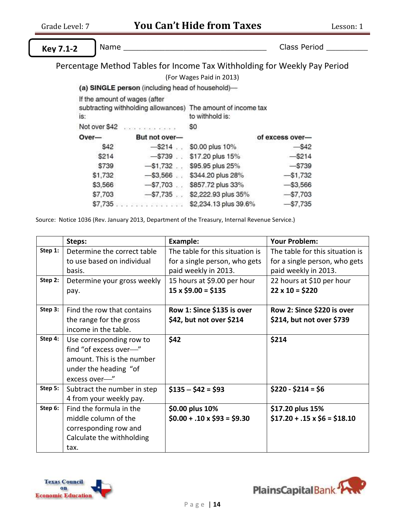ī

**Key 7.1-2**

Name \_\_\_\_\_\_\_\_\_\_\_\_\_\_\_\_\_\_\_\_\_\_\_\_\_\_\_\_\_\_\_ Class Period \_\_\_\_\_\_\_\_\_

Percentage Method Tables for Income Tax Withholding for Weekly Pay Period

(For Wages Paid in 2013)

(a) SINGLE person (including head of household)-

|                                                                     | If the amount of wages (after     |                       |                 |
|---------------------------------------------------------------------|-----------------------------------|-----------------------|-----------------|
| subtracting withholding allowances) The amount of income tax<br>is: |                                   | to withhold is:       |                 |
| Not over \$42                                                       | <b>Analysis and Alaska Alaska</b> | \$0                   |                 |
| Over-                                                               | But not over-                     |                       | of excess over- |
| \$42                                                                | $-$ \$214                         | \$0.00 plus 10%       | $-$ \$42        |
| \$214                                                               | $-$ \$739.                        | \$17.20 plus 15%      | $-$ \$214       |
| \$739                                                               | $-$ \$1,732.                      | \$95.95 plus 25%      | $-$739$         |
| \$1,732                                                             | $-$ \$3,566.                      | \$344.20 plus 28%     | $-$1,732$       |
| \$3,566                                                             | $- $7,703$                        | \$857.72 plus 33%     | $-$ \$3,566     |
| \$7,703                                                             | $-$ \$7,735.                      | \$2,222.93 plus 35%   | $-$7,703$       |
| \$7,735                                                             | 84 RAYA 2484 BAG                  | \$2,234.13 plus 39.6% | $-$7,735$       |

Source: Notice 1036 (Rev. January 2013, Department of the Treasury, Internal Revenue Service.)

|         | Steps:                      | <b>Example:</b>                  | <b>Your Problem:</b>              |
|---------|-----------------------------|----------------------------------|-----------------------------------|
| Step 1: | Determine the correct table | The table for this situation is  | The table for this situation is   |
|         | to use based on individual  | for a single person, who gets    | for a single person, who gets     |
|         | basis.                      | paid weekly in 2013.             | paid weekly in 2013.              |
| Step 2: | Determine your gross weekly | 15 hours at \$9.00 per hour      | 22 hours at \$10 per hour         |
|         | pay.                        | $15 \times $9.00 = $135$         | $22 \times 10 = $220$             |
|         |                             |                                  |                                   |
| Step 3: | Find the row that contains  | Row 1: Since \$135 is over       | Row 2: Since \$220 is over        |
|         | the range for the gross     | \$42, but not over \$214         | \$214, but not over \$739         |
|         | income in the table.        |                                  |                                   |
| Step 4: | Use corresponding row to    | \$42                             | \$214                             |
|         | find "of excess over-"      |                                  |                                   |
|         | amount. This is the number  |                                  |                                   |
|         | under the heading "of       |                                  |                                   |
|         | excess over-"               |                                  |                                   |
| Step 5: | Subtract the number in step | $$135 - $42 = $93$               | $$220 - $214 = $6$                |
|         | 4 from your weekly pay.     |                                  |                                   |
| Step 6: | Find the formula in the     | \$0.00 plus 10%                  | \$17.20 plus 15%                  |
|         | middle column of the        | $$0.00 + .10 \times $93 = $9.30$ | $$17.20 + .15 \times $6 = $18.10$ |
|         | corresponding row and       |                                  |                                   |
|         | Calculate the withholding   |                                  |                                   |
|         | tax.                        |                                  |                                   |



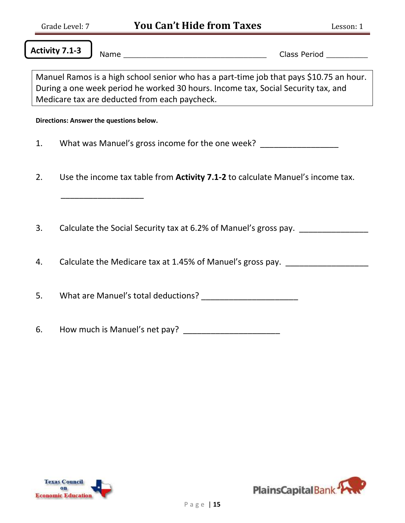**Activity 7.1-3**

Name \_\_\_\_\_\_\_\_\_\_\_\_\_\_\_\_\_\_\_\_\_\_\_\_\_\_\_\_\_\_\_ Class Period \_\_\_\_\_\_\_\_\_

Manuel Ramos is a high school senior who has a part-time job that pays \$10.75 an hour. During a one week period he worked 30 hours. Income tax, Social Security tax, and Medicare tax are deducted from each paycheck.

**Directions: Answer the questions below.**

 $\overline{\phantom{a}}$  ,  $\overline{\phantom{a}}$  ,  $\overline{\phantom{a}}$  ,  $\overline{\phantom{a}}$  ,  $\overline{\phantom{a}}$  ,  $\overline{\phantom{a}}$  ,  $\overline{\phantom{a}}$  ,  $\overline{\phantom{a}}$  ,  $\overline{\phantom{a}}$  ,  $\overline{\phantom{a}}$  ,  $\overline{\phantom{a}}$  ,  $\overline{\phantom{a}}$  ,  $\overline{\phantom{a}}$  ,  $\overline{\phantom{a}}$  ,  $\overline{\phantom{a}}$  ,  $\overline{\phantom{a}}$ 

- 1. What was Manuel's gross income for the one week?
- 2. Use the income tax table from **Activity 7.1-2** to calculate Manuel's income tax.
- 3. Calculate the Social Security tax at 6.2% of Manuel's gross pay.
- 4. Calculate the Medicare tax at 1.45% of Manuel's gross pay.

5. What are Manuel's total deductions? \_\_\_\_\_\_\_\_\_\_\_\_\_\_\_\_\_\_\_\_\_

6. How much is Manuel's net pay?



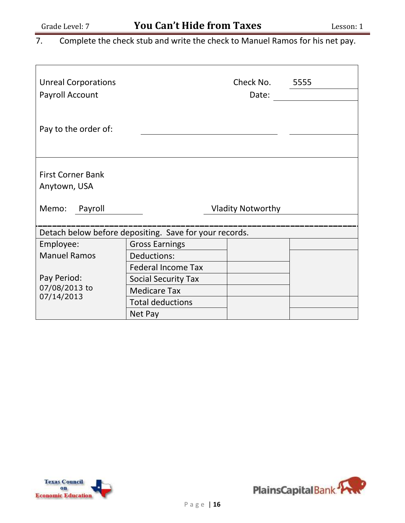7. Complete the check stub and write the check to Manuel Ramos for his net pay.

| <b>Unreal Corporations</b><br>Payroll Account                                                |                            | Check No.<br>Date:       | 5555 |  |
|----------------------------------------------------------------------------------------------|----------------------------|--------------------------|------|--|
| Pay to the order of:                                                                         |                            |                          |      |  |
| <b>First Corner Bank</b><br>Anytown, USA                                                     |                            |                          |      |  |
| Memo:<br>Payroll                                                                             |                            | <b>Vladity Notworthy</b> |      |  |
|                                                                                              |                            |                          |      |  |
| Detach below before depositing. Save for your records.<br><b>Gross Earnings</b><br>Employee: |                            |                          |      |  |
| <b>Manuel Ramos</b>                                                                          | Deductions:                |                          |      |  |
|                                                                                              | <b>Federal Income Tax</b>  |                          |      |  |
| Pay Period:                                                                                  | <b>Social Security Tax</b> |                          |      |  |
| 07/08/2013 to                                                                                | <b>Medicare Tax</b>        |                          |      |  |
| 07/14/2013                                                                                   | <b>Total deductions</b>    |                          |      |  |
|                                                                                              | Net Pay                    |                          |      |  |



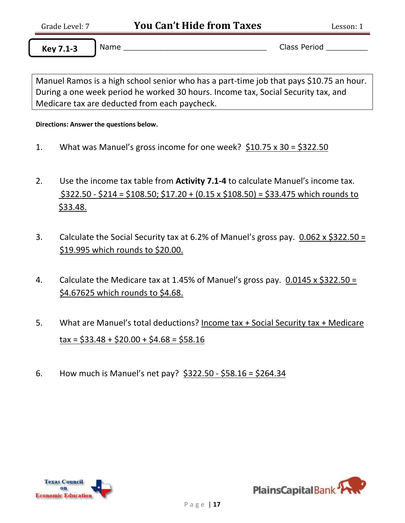**Key 7.1-3**

ī

Name \_\_\_\_\_\_\_\_\_\_\_\_\_\_\_\_\_\_\_\_\_\_\_\_\_\_\_\_\_\_\_ Class Period \_\_\_\_\_\_\_\_\_

Manuel Ramos is a high school senior who has a part-time job that pays \$10.75 an hour. During a one week period he worked 30 hours. Income tax, Social Security tax, and Medicare tax are deducted from each paycheck.

**Directions: Answer the questions below.**

- 1. What was Manuel's gross income for one week? \$10.75 x 30 = \$322.50
- 2. Use the income tax table from **Activity 7.1-4** to calculate Manuel's income tax.  $$322.50 - $214 = $108.50$ ;  $$17.20 + (0.15 \times $108.50) = $33.475$  which rounds to \$33.48.
- 3. Calculate the Social Security tax at 6.2% of Manuel's gross pay.  $0.062 \times $322.50 =$ \$19.995 which rounds to \$20.00.
- 4. Calculate the Medicare tax at 1.45% of Manuel's gross pay.  $0.0145 \times \frac{2322.50}{7}$ \$4.67625 which rounds to \$4.68.
- 5. What are Manuel's total deductions? Income tax + Social Security tax + Medicare  $\text{tax} = $33.48 + $20.00 + $4.68 = $58.16$
- 6. How much is Manuel's net pay? \$322.50 \$58.16 = \$264.34



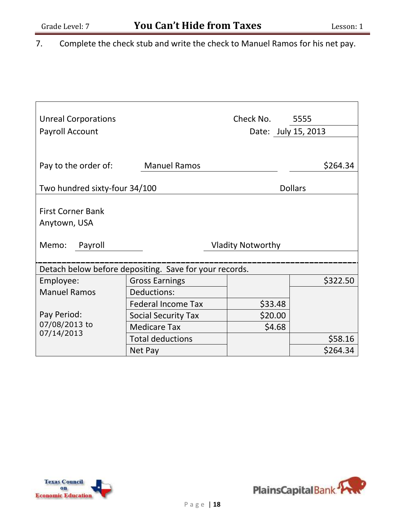7. Complete the check stub and write the check to Manuel Ramos for his net pay.

| <b>Unreal Corporations</b><br>Payroll Account          |                           | Check No. 5555<br>Date: July 15, 2013 |                |
|--------------------------------------------------------|---------------------------|---------------------------------------|----------------|
|                                                        |                           |                                       |                |
| Pay to the order of:                                   | <b>Manuel Ramos</b>       |                                       | \$264.34       |
| Two hundred sixty-four 34/100                          |                           |                                       | <b>Dollars</b> |
|                                                        |                           |                                       |                |
| <b>First Corner Bank</b>                               |                           |                                       |                |
| Anytown, USA                                           |                           |                                       |                |
| Memo:<br>Payroll                                       |                           | <b>Vladity Notworthy</b>              |                |
|                                                        |                           |                                       |                |
| Detach below before depositing. Save for your records. |                           |                                       |                |
| Employee:                                              | <b>Gross Earnings</b>     |                                       | \$322.50       |
| <b>Manuel Ramos</b>                                    | Deductions:               |                                       |                |
|                                                        | <b>Federal Income Tax</b> | \$33.48                               |                |
| Pay Period:                                            | Social Security Tax       | \$20.00                               |                |
| 07/08/2013 to                                          | <b>Medicare Tax</b>       | \$4.68                                |                |
| 07/14/2013                                             | <b>Total deductions</b>   |                                       | \$58.16        |
|                                                        | Net Pay                   |                                       | \$264.34       |



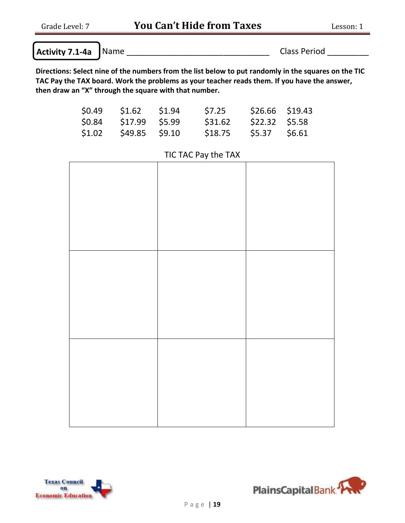| Activity 7.1-4a Name | <b>Class Period</b> |
|----------------------|---------------------|

Grade Level: 7 **You Can't Hide from Taxes** Lesson: 1

**Directions: Select nine of the numbers from the list below to put randomly in the squares on the TIC TAC Pay the TAX board. Work the problems as your teacher reads them. If you have the answer, then draw an "X" through the square with that number.** 

|        | $$0.49$ $$1.62$ $$1.94$ | \$7.25  | \$26.66 \$19.43 |  |
|--------|-------------------------|---------|-----------------|--|
| \$0.84 | \$17.99 \$5.99          | \$31.62 | \$22.32 \$5.58  |  |
| \$1.02 | \$49.85 \$9.10          | \$18.75 | \$5.37 \$6.61   |  |





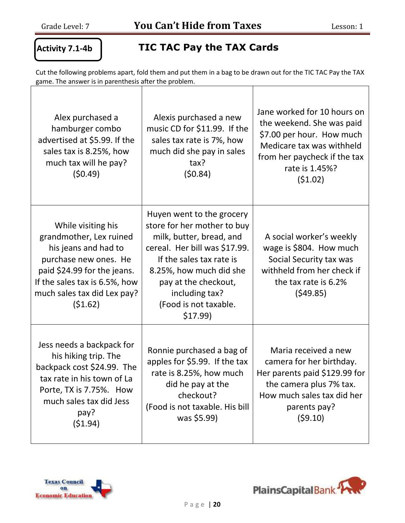#### **Activity 7.1-4b**

'<br>'

### **TIC TAC Pay the TAX Cards**

Cut the following problems apart, fold them and put them in a bag to be drawn out for the TIC TAC Pay the TAX game. The answer is in parenthesis after the problem.

| Alex purchased a<br>hamburger combo<br>advertised at \$5.99. If the<br>sales tax is 8.25%, how<br>much tax will he pay?<br>(50.49)                                                                       | Alexis purchased a new<br>music CD for \$11.99. If the<br>sales tax rate is 7%, how<br>much did she pay in sales<br>tax?<br>(50.84)                                                                                                                        | Jane worked for 10 hours on<br>the weekend. She was paid<br>\$7.00 per hour. How much<br>Medicare tax was withheld<br>from her paycheck if the tax<br>rate is 1.45%?<br>(51.02) |
|----------------------------------------------------------------------------------------------------------------------------------------------------------------------------------------------------------|------------------------------------------------------------------------------------------------------------------------------------------------------------------------------------------------------------------------------------------------------------|---------------------------------------------------------------------------------------------------------------------------------------------------------------------------------|
| While visiting his<br>grandmother, Lex ruined<br>his jeans and had to<br>purchase new ones. He<br>paid \$24.99 for the jeans.<br>If the sales tax is 6.5%, how<br>much sales tax did Lex pay?<br>(51.62) | Huyen went to the grocery<br>store for her mother to buy<br>milk, butter, bread, and<br>cereal. Her bill was \$17.99.<br>If the sales tax rate is<br>8.25%, how much did she<br>pay at the checkout,<br>including tax?<br>(Food is not taxable.<br>\$17.99 | A social worker's weekly<br>wage is \$804. How much<br>Social Security tax was<br>withheld from her check if<br>the tax rate is 6.2%<br>(549.85)                                |
| Jess needs a backpack for<br>his hiking trip. The<br>backpack cost \$24.99. The<br>tax rate in his town of La<br>Porte, TX is 7.75%. How<br>much sales tax did Jess<br>pay?<br>(51.94)                   | Ronnie purchased a bag of<br>apples for \$5.99. If the tax<br>rate is 8.25%, how much<br>did he pay at the<br>checkout?<br>(Food is not taxable. His bill<br>was \$5.99)                                                                                   | Maria received a new<br>camera for her birthday.<br>Her parents paid \$129.99 for<br>the camera plus 7% tax.<br>How much sales tax did her<br>parents pay?<br>(59.10)           |